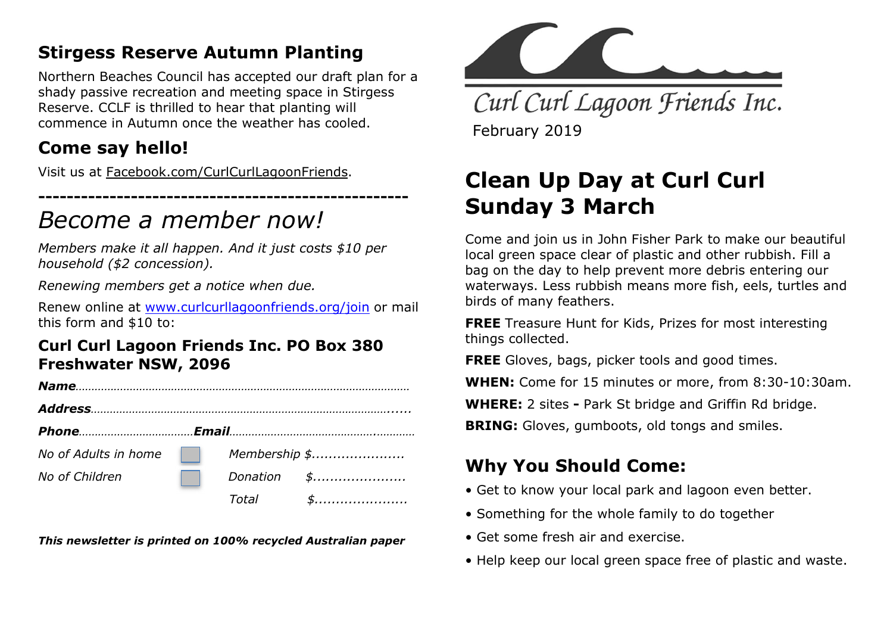## Stirgess Reserve Autumn Planting

Northern Beaches Council has accepted our draft plan for a shady passive recreation and meeting space in Stirgess Reserve. CCLF is thrilled to hear that planting will commence in Autumn once the weather has cooled.

## Come say hello!

Visit us at Facebook.com/CurlCurlLagoonFriends.

## ---------------------------------------------------- Become a member now!

Members make it all happen. And it just costs \$10 per household (\$2 concession).

Renewing members get a notice when due.

Renew online at www.curlcurllagoonfriends.org/join or mail this form and \$10 to:

#### Curl Curl Lagoon Friends Inc. PO Box 380 Freshwater NSW, 2096

| No of Adults in home | <b>The Contract of the Contract of the Contract of the Contract of the Contract of the Contract of the Contract o</b> |       | Membership \$ |
|----------------------|-----------------------------------------------------------------------------------------------------------------------|-------|---------------|
| No of Children       |                                                                                                                       |       | Donation \$   |
|                      |                                                                                                                       | Total | \$            |

This newsletter is printed on 100% recycled Australian paper



Curl Curl Lagoon Friends Inc. February 2019

# Clean Up Day at Curl Curl Sunday 3 March

Come and join us in John Fisher Park to make our beautiful local green space clear of plastic and other rubbish. Fill a bag on the day to help prevent more debris entering our waterways. Less rubbish means more fish, eels, turtles and birds of many feathers.

FREE Treasure Hunt for Kids, Prizes for most interesting things collected.

FREE Gloves, bags, picker tools and good times.

WHEN: Come for 15 minutes or more, from 8:30-10:30am.

WHERE: 2 sites - Park St bridge and Griffin Rd bridge.

**BRING:** Gloves, gumboots, old tongs and smiles.

## Why You Should Come:

- Get to know your local park and lagoon even better.
- Something for the whole family to do together
- Get some fresh air and exercise.
- Help keep our local green space free of plastic and waste.